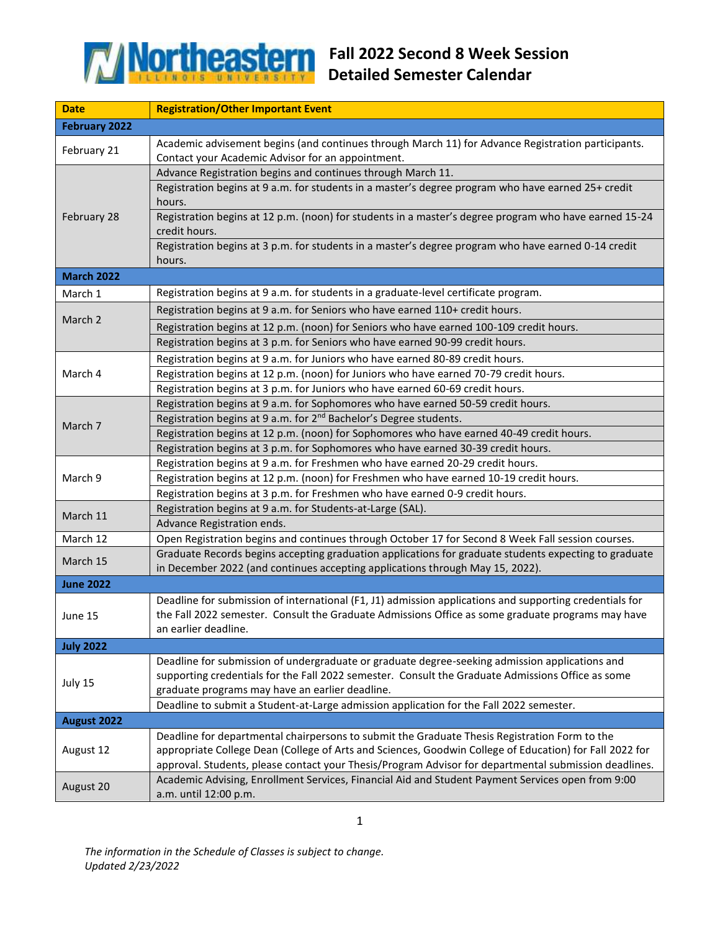

| <b>Date</b>          | <b>Registration/Other Important Event</b>                                                                                                                                                                                                                                                                                                         |
|----------------------|---------------------------------------------------------------------------------------------------------------------------------------------------------------------------------------------------------------------------------------------------------------------------------------------------------------------------------------------------|
| <b>February 2022</b> |                                                                                                                                                                                                                                                                                                                                                   |
| February 21          | Academic advisement begins (and continues through March 11) for Advance Registration participants.                                                                                                                                                                                                                                                |
|                      | Contact your Academic Advisor for an appointment.                                                                                                                                                                                                                                                                                                 |
| February 28          | Advance Registration begins and continues through March 11.                                                                                                                                                                                                                                                                                       |
|                      | Registration begins at 9 a.m. for students in a master's degree program who have earned 25+ credit<br>hours.                                                                                                                                                                                                                                      |
|                      | Registration begins at 12 p.m. (noon) for students in a master's degree program who have earned 15-24<br>credit hours.                                                                                                                                                                                                                            |
|                      | Registration begins at 3 p.m. for students in a master's degree program who have earned 0-14 credit<br>hours.                                                                                                                                                                                                                                     |
| <b>March 2022</b>    |                                                                                                                                                                                                                                                                                                                                                   |
| March 1              | Registration begins at 9 a.m. for students in a graduate-level certificate program.                                                                                                                                                                                                                                                               |
| March 2              | Registration begins at 9 a.m. for Seniors who have earned 110+ credit hours.                                                                                                                                                                                                                                                                      |
|                      | Registration begins at 12 p.m. (noon) for Seniors who have earned 100-109 credit hours.                                                                                                                                                                                                                                                           |
|                      | Registration begins at 3 p.m. for Seniors who have earned 90-99 credit hours.                                                                                                                                                                                                                                                                     |
|                      | Registration begins at 9 a.m. for Juniors who have earned 80-89 credit hours.                                                                                                                                                                                                                                                                     |
| March 4              | Registration begins at 12 p.m. (noon) for Juniors who have earned 70-79 credit hours.                                                                                                                                                                                                                                                             |
|                      | Registration begins at 3 p.m. for Juniors who have earned 60-69 credit hours.                                                                                                                                                                                                                                                                     |
|                      | Registration begins at 9 a.m. for Sophomores who have earned 50-59 credit hours.                                                                                                                                                                                                                                                                  |
|                      | Registration begins at 9 a.m. for 2 <sup>nd</sup> Bachelor's Degree students.                                                                                                                                                                                                                                                                     |
| March 7              | Registration begins at 12 p.m. (noon) for Sophomores who have earned 40-49 credit hours.                                                                                                                                                                                                                                                          |
|                      | Registration begins at 3 p.m. for Sophomores who have earned 30-39 credit hours.                                                                                                                                                                                                                                                                  |
|                      | Registration begins at 9 a.m. for Freshmen who have earned 20-29 credit hours.                                                                                                                                                                                                                                                                    |
| March 9              | Registration begins at 12 p.m. (noon) for Freshmen who have earned 10-19 credit hours.                                                                                                                                                                                                                                                            |
|                      | Registration begins at 3 p.m. for Freshmen who have earned 0-9 credit hours.                                                                                                                                                                                                                                                                      |
| March 11             | Registration begins at 9 a.m. for Students-at-Large (SAL).                                                                                                                                                                                                                                                                                        |
|                      | Advance Registration ends.                                                                                                                                                                                                                                                                                                                        |
| March 12             | Open Registration begins and continues through October 17 for Second 8 Week Fall session courses.                                                                                                                                                                                                                                                 |
| March 15             | Graduate Records begins accepting graduation applications for graduate students expecting to graduate<br>in December 2022 (and continues accepting applications through May 15, 2022).                                                                                                                                                            |
| <b>June 2022</b>     |                                                                                                                                                                                                                                                                                                                                                   |
| June 15              | Deadline for submission of international (F1, J1) admission applications and supporting credentials for<br>the Fall 2022 semester. Consult the Graduate Admissions Office as some graduate programs may have<br>an earlier deadline.                                                                                                              |
| <b>July 2022</b>     |                                                                                                                                                                                                                                                                                                                                                   |
| July 15              | Deadline for submission of undergraduate or graduate degree-seeking admission applications and<br>supporting credentials for the Fall 2022 semester. Consult the Graduate Admissions Office as some<br>graduate programs may have an earlier deadline.<br>Deadline to submit a Student-at-Large admission application for the Fall 2022 semester. |
| August 2022          |                                                                                                                                                                                                                                                                                                                                                   |
| August 12            | Deadline for departmental chairpersons to submit the Graduate Thesis Registration Form to the                                                                                                                                                                                                                                                     |
|                      | appropriate College Dean (College of Arts and Sciences, Goodwin College of Education) for Fall 2022 for<br>approval. Students, please contact your Thesis/Program Advisor for departmental submission deadlines.                                                                                                                                  |
| August 20            | Academic Advising, Enrollment Services, Financial Aid and Student Payment Services open from 9:00                                                                                                                                                                                                                                                 |
|                      | a.m. until 12:00 p.m.                                                                                                                                                                                                                                                                                                                             |

*The information in the Schedule of Classes is subject to change. Updated 2/23/2022*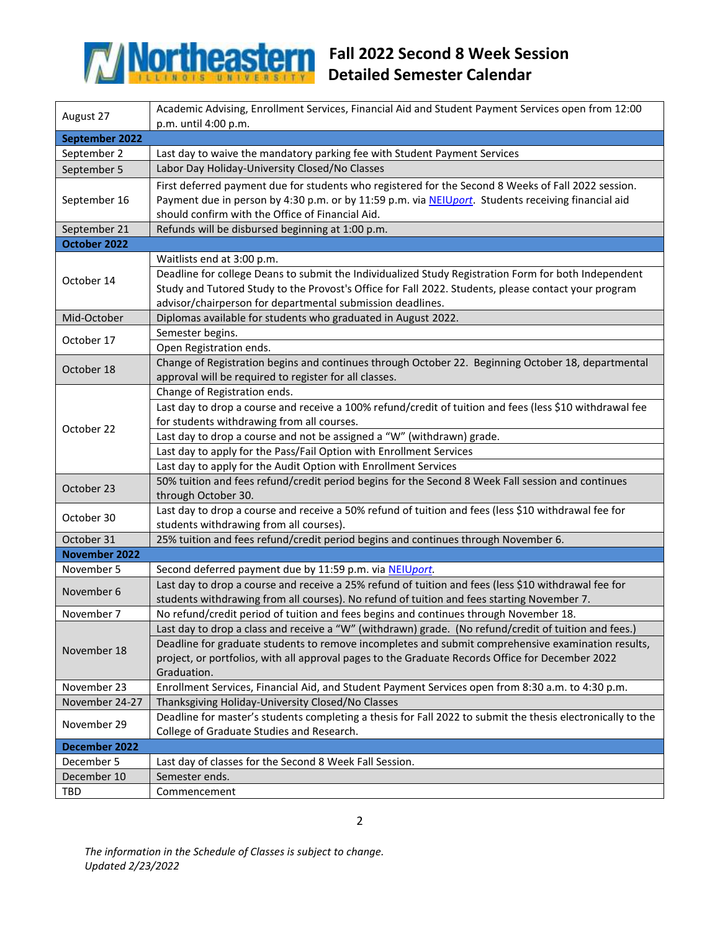

## **Fall 2022 Second 8 Week Session Detailed Semester Calendar**

| August 27            | Academic Advising, Enrollment Services, Financial Aid and Student Payment Services open from 12:00                            |  |
|----------------------|-------------------------------------------------------------------------------------------------------------------------------|--|
|                      | p.m. until 4:00 p.m.                                                                                                          |  |
| September 2022       |                                                                                                                               |  |
| September 2          | Last day to waive the mandatory parking fee with Student Payment Services                                                     |  |
| September 5          | Labor Day Holiday-University Closed/No Classes                                                                                |  |
| September 16         | First deferred payment due for students who registered for the Second 8 Weeks of Fall 2022 session.                           |  |
|                      | Payment due in person by 4:30 p.m. or by 11:59 p.m. via NEIUport. Students receiving financial aid                            |  |
|                      | should confirm with the Office of Financial Aid.                                                                              |  |
| September 21         | Refunds will be disbursed beginning at 1:00 p.m.                                                                              |  |
| October 2022         |                                                                                                                               |  |
| October 14           | Waitlists end at 3:00 p.m.                                                                                                    |  |
|                      | Deadline for college Deans to submit the Individualized Study Registration Form for both Independent                          |  |
|                      | Study and Tutored Study to the Provost's Office for Fall 2022. Students, please contact your program                          |  |
|                      | advisor/chairperson for departmental submission deadlines.                                                                    |  |
| Mid-October          | Diplomas available for students who graduated in August 2022.                                                                 |  |
| October 17           | Semester begins.                                                                                                              |  |
|                      | Open Registration ends.                                                                                                       |  |
| October 18           | Change of Registration begins and continues through October 22. Beginning October 18, departmental                            |  |
|                      | approval will be required to register for all classes.                                                                        |  |
|                      | Change of Registration ends.                                                                                                  |  |
|                      | Last day to drop a course and receive a 100% refund/credit of tuition and fees (less \$10 withdrawal fee                      |  |
| October 22           | for students withdrawing from all courses.                                                                                    |  |
|                      | Last day to drop a course and not be assigned a "W" (withdrawn) grade.                                                        |  |
|                      | Last day to apply for the Pass/Fail Option with Enrollment Services                                                           |  |
|                      | Last day to apply for the Audit Option with Enrollment Services                                                               |  |
| October 23           | 50% tuition and fees refund/credit period begins for the Second 8 Week Fall session and continues                             |  |
|                      | through October 30.                                                                                                           |  |
| October 30           | Last day to drop a course and receive a 50% refund of tuition and fees (less \$10 withdrawal fee for                          |  |
| October 31           | students withdrawing from all courses).<br>25% tuition and fees refund/credit period begins and continues through November 6. |  |
| <b>November 2022</b> |                                                                                                                               |  |
| November 5           | Second deferred payment due by 11:59 p.m. via NEIUport.                                                                       |  |
|                      | Last day to drop a course and receive a 25% refund of tuition and fees (less \$10 withdrawal fee for                          |  |
| November 6           | students withdrawing from all courses). No refund of tuition and fees starting November 7.                                    |  |
| November 7           | No refund/credit period of tuition and fees begins and continues through November 18.                                         |  |
|                      | Last day to drop a class and receive a "W" (withdrawn) grade. (No refund/credit of tuition and fees.)                         |  |
|                      | Deadline for graduate students to remove incompletes and submit comprehensive examination results,                            |  |
| November 18          | project, or portfolios, with all approval pages to the Graduate Records Office for December 2022                              |  |
|                      | Graduation.                                                                                                                   |  |
| November 23          | Enrollment Services, Financial Aid, and Student Payment Services open from 8:30 a.m. to 4:30 p.m.                             |  |
| November 24-27       | Thanksgiving Holiday-University Closed/No Classes                                                                             |  |
| November 29          | Deadline for master's students completing a thesis for Fall 2022 to submit the thesis electronically to the                   |  |
|                      | College of Graduate Studies and Research.                                                                                     |  |
| December 2022        |                                                                                                                               |  |
| December 5           | Last day of classes for the Second 8 Week Fall Session.                                                                       |  |
| December 10          | Semester ends.                                                                                                                |  |
| TBD                  | Commencement                                                                                                                  |  |

*The information in the Schedule of Classes is subject to change. Updated 2/23/2022*